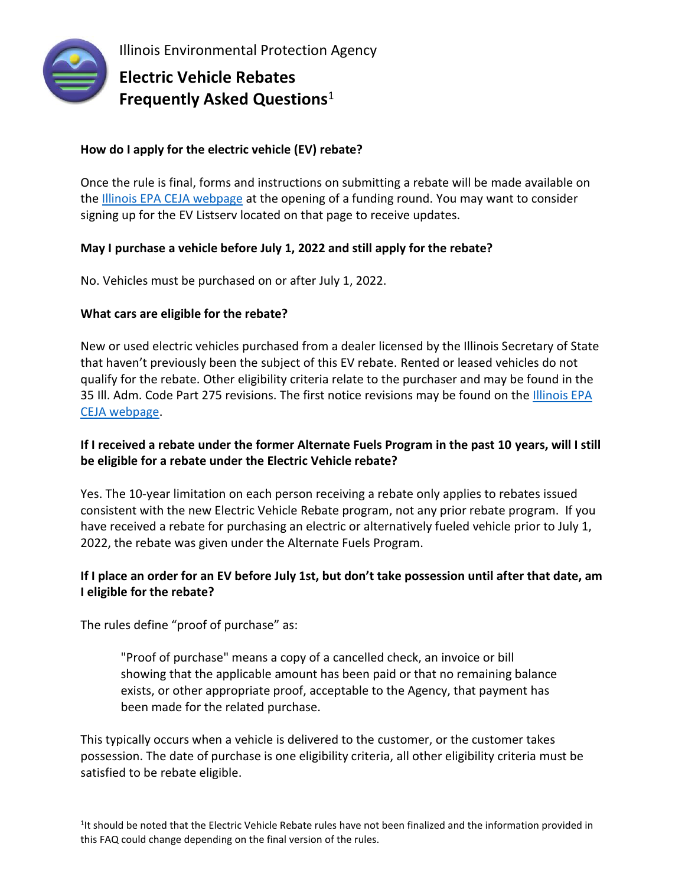

Illinois Environmental Protection Agency

# **Electric Vehicle Rebates Frequently Asked Questions**<sup>1</sup>

# **How do I apply for the electric vehicle (EV) rebate?**

Once the rule is final, forms and instructions on submitting a rebate will be made available on the [Illinois EPA CEJA webpage](https://www2.illinois.gov/epa/topics/ceja/Pages/default.aspx) at the opening of a funding round. You may want to consider signing up for the EV Listserv located on that page to receive updates.

# **May I purchase a vehicle before July 1, 2022 and still apply for the rebate?**

No. Vehicles must be purchased on or after July 1, 2022.

## **What cars are eligible for the rebate?**

New or used electric vehicles purchased from a dealer licensed by the Illinois Secretary of State that haven't previously been the subject of this EV rebate. Rented or leased vehicles do not qualify for the rebate. Other eligibility criteria relate to the purchaser and may be found in the 35 Ill. Adm. Code Part 275 revisions. The first notice revisions may be found on the [Illinois EPA](https://www2.illinois.gov/epa/topics/ceja/Pages/default.aspx)  [CEJA webpage.](https://www2.illinois.gov/epa/topics/ceja/Pages/default.aspx)

# **If I received a rebate under the former Alternate Fuels Program in the past 10 years, will I still be eligible for a rebate under the Electric Vehicle rebate?**

Yes. The 10-year limitation on each person receiving a rebate only applies to rebates issued consistent with the new Electric Vehicle Rebate program, not any prior rebate program. If you have received a rebate for purchasing an electric or alternatively fueled vehicle prior to July 1, 2022, the rebate was given under the Alternate Fuels Program.

# **If I place an order for an EV before July 1st, but don't take possession until after that date, am I eligible for the rebate?**

The rules define "proof of purchase" as:

"Proof of purchase" means a copy of a cancelled check, an invoice or bill showing that the applicable amount has been paid or that no remaining balance exists, or other appropriate proof, acceptable to the Agency, that payment has been made for the related purchase.

This typically occurs when a vehicle is delivered to the customer, or the customer takes possession. The date of purchase is one eligibility criteria, all other eligibility criteria must be satisfied to be rebate eligible.